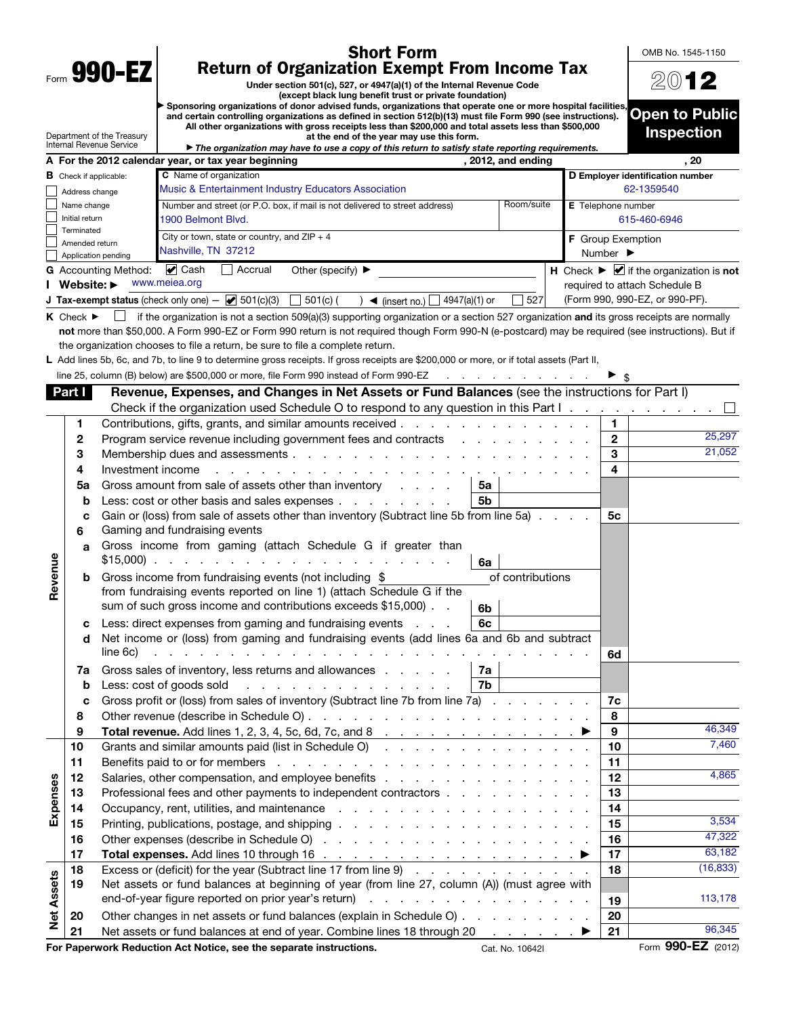|                   |                                 | Form 990-EZ                                                                                                                                                                                                           | <b>Short Form</b><br><b>Return of Organization Exempt From Income Tax</b>                                                                                                                                                           |                              |              | OMB No. 1545-1150                                                            |
|-------------------|---------------------------------|-----------------------------------------------------------------------------------------------------------------------------------------------------------------------------------------------------------------------|-------------------------------------------------------------------------------------------------------------------------------------------------------------------------------------------------------------------------------------|------------------------------|--------------|------------------------------------------------------------------------------|
|                   |                                 |                                                                                                                                                                                                                       |                                                                                                                                                                                                                                     | 2012                         |              |                                                                              |
|                   |                                 | Sponsoring organizations of donor advised funds, organizations that operate one or more hospital facilities,                                                                                                          |                                                                                                                                                                                                                                     |                              |              |                                                                              |
|                   |                                 | and certain controlling organizations as defined in section 512(b)(13) must file Form 990 (see instructions).<br>All other organizations with gross receipts less than \$200,000 and total assets less than \$500,000 |                                                                                                                                                                                                                                     | <b>Open to Public</b>        |              |                                                                              |
|                   |                                 | Department of the Treasury<br>Internal Revenue Service                                                                                                                                                                | at the end of the year may use this form.<br>The organization may have to use a copy of this return to satisfy state reporting requirements.                                                                                        |                              |              | <b>Inspection</b>                                                            |
|                   |                                 |                                                                                                                                                                                                                       | A For the 2012 calendar year, or tax year beginning<br>, 2012, and ending                                                                                                                                                           |                              |              | , 20                                                                         |
|                   | <b>B</b> Check if applicable:   |                                                                                                                                                                                                                       | C Name of organization                                                                                                                                                                                                              |                              |              | D Employer identification number                                             |
|                   | Address change                  |                                                                                                                                                                                                                       | Music & Entertainment Industry Educators Association                                                                                                                                                                                |                              | 62-1359540   |                                                                              |
|                   | Name change<br>Initial return   |                                                                                                                                                                                                                       | Room/suite<br>Number and street (or P.O. box, if mail is not delivered to street address)<br>1900 Belmont Blvd.                                                                                                                     | E Telephone number           | 615-460-6946 |                                                                              |
|                   | Terminated                      |                                                                                                                                                                                                                       | City or town, state or country, and $ZIP + 4$                                                                                                                                                                                       | F Group Exemption            |              |                                                                              |
|                   | Amended return                  | Application pending                                                                                                                                                                                                   | Nashville, TN 37212                                                                                                                                                                                                                 | Number $\blacktriangleright$ |              |                                                                              |
|                   |                                 | <b>G</b> Accounting Method:                                                                                                                                                                                           | $\blacktriangleright$ Cash<br>Accrual<br>Other (specify) ▶                                                                                                                                                                          |                              |              | H Check $\blacktriangleright \blacktriangleright$ if the organization is not |
|                   | Website: $\blacktriangleright$  |                                                                                                                                                                                                                       | www.meiea.org                                                                                                                                                                                                                       |                              |              | required to attach Schedule B                                                |
|                   |                                 |                                                                                                                                                                                                                       | <b>J Tax-exempt status</b> (check only one) $ \bullet$ 501(c)(3) 501(c) (<br>527<br>$\int$ (insert no.) $\boxed{\phantom{0}}$ 4947(a)(1) or                                                                                         |                              |              | (Form 990, 990-EZ, or 990-PF).                                               |
|                   | $K$ Check $\blacktriangleright$ |                                                                                                                                                                                                                       | if the organization is not a section 509(a)(3) supporting organization or a section 527 organization and its gross receipts are normally                                                                                            |                              |              |                                                                              |
|                   |                                 |                                                                                                                                                                                                                       | not more than \$50,000. A Form 990-EZ or Form 990 return is not required though Form 990-N (e-postcard) may be required (see instructions). But if<br>the organization chooses to file a return, be sure to file a complete return. |                              |              |                                                                              |
|                   |                                 |                                                                                                                                                                                                                       | L Add lines 5b, 6c, and 7b, to line 9 to determine gross receipts. If gross receipts are \$200,000 or more, or if total assets (Part II,                                                                                            |                              |              |                                                                              |
|                   |                                 |                                                                                                                                                                                                                       | line 25, column (B) below) are \$500,000 or more, file Form 990 instead of Form 990-EZ<br>the contract of the contract of the                                                                                                       |                              |              |                                                                              |
|                   | Part I I                        |                                                                                                                                                                                                                       | Revenue, Expenses, and Changes in Net Assets or Fund Balances (see the instructions for Part I)                                                                                                                                     |                              |              |                                                                              |
|                   |                                 |                                                                                                                                                                                                                       | Check if the organization used Schedule O to respond to any question in this Part I.                                                                                                                                                |                              |              |                                                                              |
|                   | 1                               |                                                                                                                                                                                                                       |                                                                                                                                                                                                                                     |                              | 1            |                                                                              |
|                   | 2                               |                                                                                                                                                                                                                       | Program service revenue including government fees and contracts                                                                                                                                                                     |                              | $\mathbf{2}$ | 25,297                                                                       |
|                   | 3                               |                                                                                                                                                                                                                       |                                                                                                                                                                                                                                     |                              | 3            | 21,052                                                                       |
|                   | 4                               | Investment income                                                                                                                                                                                                     | the contract of the contract of the contract of the contract of the contract of the contract of the contract of the contract of the contract of the contract of the contract of the contract of the contract of the contract o      |                              | 4            |                                                                              |
|                   | 5a                              |                                                                                                                                                                                                                       | Gross amount from sale of assets other than inventory<br>5а                                                                                                                                                                         |                              |              |                                                                              |
|                   | b                               |                                                                                                                                                                                                                       | Less: cost or other basis and sales expenses<br>5b                                                                                                                                                                                  |                              |              |                                                                              |
|                   | с<br>6                          |                                                                                                                                                                                                                       | Gain or (loss) from sale of assets other than inventory (Subtract line 5b from line 5a)<br>Gaming and fundraising events                                                                                                            |                              | 5с           |                                                                              |
| Revenue           | a                               |                                                                                                                                                                                                                       | Gross income from gaming (attach Schedule G if greater than<br>6a                                                                                                                                                                   |                              |              |                                                                              |
|                   | b                               |                                                                                                                                                                                                                       | of contributions<br>Gross income from fundraising events (not including \$                                                                                                                                                          |                              |              |                                                                              |
|                   |                                 |                                                                                                                                                                                                                       | from fundraising events reported on line 1) (attach Schedule G if the<br>sum of such gross income and contributions exceeds \$15,000).<br>6b                                                                                        |                              |              |                                                                              |
|                   | с                               |                                                                                                                                                                                                                       | Less: direct expenses from gaming and fundraising events<br>6с                                                                                                                                                                      |                              |              |                                                                              |
|                   | d                               |                                                                                                                                                                                                                       | Net income or (loss) from gaming and fundraising events (add lines 6a and 6b and subtract                                                                                                                                           |                              |              |                                                                              |
|                   |                                 | line 6c)                                                                                                                                                                                                              | المنافر المنافر المنافر المنافر المنافر المنافر المنافر المنافر المنافر المنافر المنافر المنافر المنافر المنافر                                                                                                                     |                              | 6d           |                                                                              |
|                   | 7a                              |                                                                                                                                                                                                                       | Gross sales of inventory, less returns and allowances<br>7a                                                                                                                                                                         |                              |              |                                                                              |
|                   | b                               |                                                                                                                                                                                                                       | 7b<br>Less: cost of goods sold<br>and a series of the contract of the contract of                                                                                                                                                   |                              |              |                                                                              |
|                   | с                               |                                                                                                                                                                                                                       | Gross profit or (loss) from sales of inventory (Subtract line 7b from line 7a)                                                                                                                                                      |                              | 7c           |                                                                              |
|                   | 8                               |                                                                                                                                                                                                                       |                                                                                                                                                                                                                                     |                              | 8<br>9       | 46,349                                                                       |
|                   | 9<br>10                         |                                                                                                                                                                                                                       | Grants and similar amounts paid (list in Schedule O)                                                                                                                                                                                |                              | 10           | 7,460                                                                        |
|                   | 11                              |                                                                                                                                                                                                                       | Benefits paid to or for members enters and the content of the content of the content of the content of the content of the content of the content of the content of the content of the content of the content of the content of      |                              | 11           |                                                                              |
|                   | 12                              |                                                                                                                                                                                                                       | Salaries, other compensation, and employee benefits                                                                                                                                                                                 |                              | 12           | 4,865                                                                        |
|                   | 13                              |                                                                                                                                                                                                                       | Professional fees and other payments to independent contractors                                                                                                                                                                     |                              | 13           |                                                                              |
| Expenses          | 14                              |                                                                                                                                                                                                                       |                                                                                                                                                                                                                                     |                              | 14           |                                                                              |
|                   | 15                              |                                                                                                                                                                                                                       |                                                                                                                                                                                                                                     |                              | 15           | 3,534                                                                        |
|                   | 16                              |                                                                                                                                                                                                                       |                                                                                                                                                                                                                                     |                              | 16           | 47,322                                                                       |
|                   | 17                              |                                                                                                                                                                                                                       | Total expenses. Add lines 10 through 16 $\ldots$ $\ldots$ $\ldots$ $\ldots$ $\ldots$ $\ldots$ $\ldots$                                                                                                                              |                              | 17           | 63,182                                                                       |
|                   | 18                              |                                                                                                                                                                                                                       | Excess or (deficit) for the year (Subtract line 17 from line 9)                                                                                                                                                                     |                              | 18           | (16, 833)                                                                    |
|                   | 19                              |                                                                                                                                                                                                                       | Net assets or fund balances at beginning of year (from line 27, column (A)) (must agree with                                                                                                                                        |                              |              |                                                                              |
| <b>Net Assets</b> |                                 |                                                                                                                                                                                                                       |                                                                                                                                                                                                                                     |                              | 19           | 113,178                                                                      |
|                   | 20<br>21                        |                                                                                                                                                                                                                       | Other changes in net assets or fund balances (explain in Schedule O)<br>Net assets or fund balances at end of year. Combine lines 18 through 20 ▶                                                                                   |                              | 20<br>21     | 96,345                                                                       |
|                   |                                 |                                                                                                                                                                                                                       | For Paperwork Reduction Act Notice, see the separate instructions.<br>Cat. No. 10642I                                                                                                                                               |                              |              | Form 990-EZ (2012)                                                           |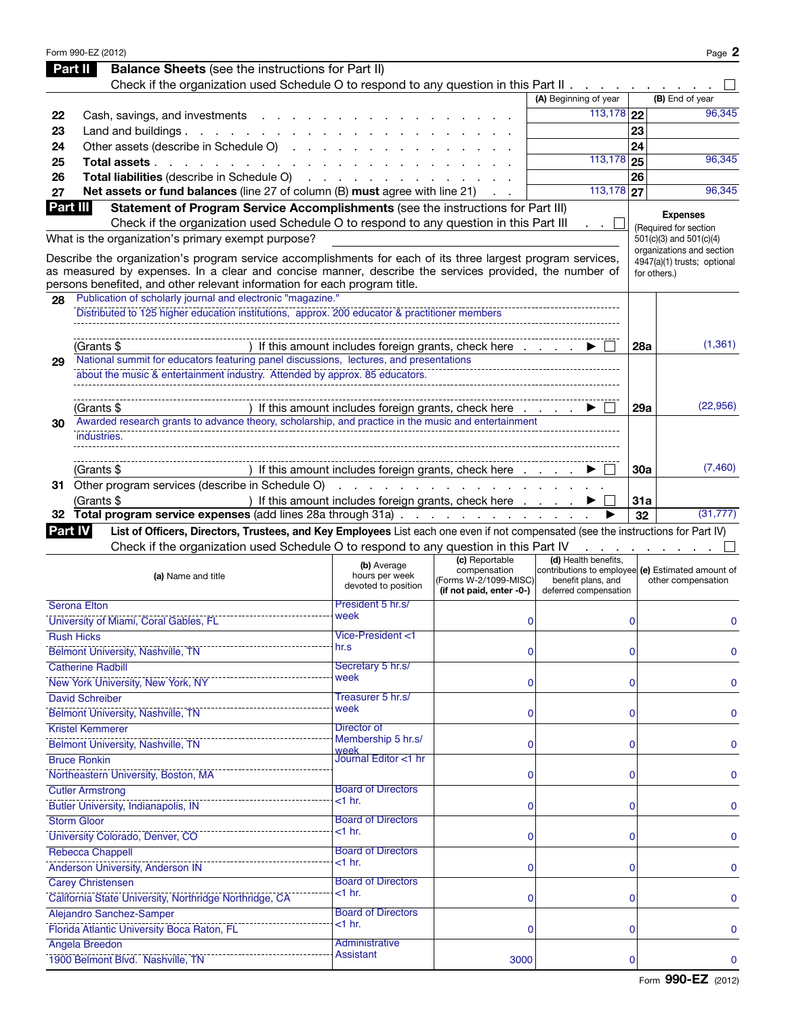|                | Form 990-EZ (2012)                                                                                                                                                                                                                                                                                |                                                      |                                                                   |                                                                                                  |             | Page 2                                           |
|----------------|---------------------------------------------------------------------------------------------------------------------------------------------------------------------------------------------------------------------------------------------------------------------------------------------------|------------------------------------------------------|-------------------------------------------------------------------|--------------------------------------------------------------------------------------------------|-------------|--------------------------------------------------|
|                | <b>Balance Sheets</b> (see the instructions for Part II)<br>Part II                                                                                                                                                                                                                               |                                                      |                                                                   |                                                                                                  |             |                                                  |
|                | Check if the organization used Schedule O to respond to any question in this Part II                                                                                                                                                                                                              |                                                      |                                                                   |                                                                                                  |             |                                                  |
|                |                                                                                                                                                                                                                                                                                                   |                                                      |                                                                   | (A) Beginning of year                                                                            |             | (B) End of year                                  |
| 22             | Cash, savings, and investments                                                                                                                                                                                                                                                                    |                                                      |                                                                   | $113,178$ 22                                                                                     |             | 96,345                                           |
| 23             | Land and buildings $\ldots$ $\ldots$ $\ldots$ $\ldots$                                                                                                                                                                                                                                            |                                                      |                                                                   |                                                                                                  | 23          |                                                  |
| 24             | Other assets (describe in Schedule O)                                                                                                                                                                                                                                                             |                                                      |                                                                   |                                                                                                  | 24          |                                                  |
| 25             | Total assets.<br>and a state of the state of the state of the                                                                                                                                                                                                                                     |                                                      |                                                                   | $113,178$ 25                                                                                     |             | 96,345                                           |
| 26             | Total liabilities (describe in Schedule O)                                                                                                                                                                                                                                                        |                                                      |                                                                   |                                                                                                  | 26          |                                                  |
| 27             | Net assets or fund balances (line 27 of column (B) must agree with line 21)                                                                                                                                                                                                                       | and a strain and                                     |                                                                   | $\overline{113,178}$ 27                                                                          |             | 96,345                                           |
| Part III       | Statement of Program Service Accomplishments (see the instructions for Part III)                                                                                                                                                                                                                  |                                                      |                                                                   |                                                                                                  |             |                                                  |
|                | Check if the organization used Schedule O to respond to any question in this Part III                                                                                                                                                                                                             |                                                      |                                                                   |                                                                                                  |             | <b>Expenses</b>                                  |
|                | What is the organization's primary exempt purpose?                                                                                                                                                                                                                                                |                                                      |                                                                   |                                                                                                  |             | (Required for section<br>501(c)(3) and 501(c)(4) |
|                |                                                                                                                                                                                                                                                                                                   |                                                      |                                                                   |                                                                                                  |             | organizations and section                        |
|                | Describe the organization's program service accomplishments for each of its three largest program services,<br>as measured by expenses. In a clear and concise manner, describe the services provided, the number of<br>persons benefited, and other relevant information for each program title. |                                                      |                                                                   |                                                                                                  |             | 4947(a)(1) trusts; optional<br>for others.)      |
| 28             | Publication of scholarly journal and electronic "magazine."                                                                                                                                                                                                                                       |                                                      |                                                                   |                                                                                                  |             |                                                  |
|                | Distributed to 125 higher education institutions, approx. 200 educator & practitioner members                                                                                                                                                                                                     |                                                      |                                                                   |                                                                                                  |             |                                                  |
|                |                                                                                                                                                                                                                                                                                                   |                                                      |                                                                   |                                                                                                  |             |                                                  |
|                |                                                                                                                                                                                                                                                                                                   |                                                      |                                                                   |                                                                                                  |             |                                                  |
|                | (Grants \$                                                                                                                                                                                                                                                                                        | ) If this amount includes foreign grants, check here |                                                                   |                                                                                                  | 28a         | (1,361)                                          |
| 29             | National summit for educators featuring panel discussions, lectures, and presentations                                                                                                                                                                                                            |                                                      |                                                                   |                                                                                                  |             |                                                  |
|                | about the music & entertainment industry. Attended by approx. 85 educators.                                                                                                                                                                                                                       |                                                      |                                                                   |                                                                                                  |             |                                                  |
|                |                                                                                                                                                                                                                                                                                                   |                                                      |                                                                   |                                                                                                  |             |                                                  |
|                | (Grants \$                                                                                                                                                                                                                                                                                        | ) If this amount includes foreign grants, check here |                                                                   |                                                                                                  | <b>29a</b>  | (22, 956)                                        |
| 30             | Awarded research grants to advance theory, scholarship, and practice in the music and entertainment                                                                                                                                                                                               |                                                      |                                                                   |                                                                                                  |             |                                                  |
|                | industries.                                                                                                                                                                                                                                                                                       |                                                      |                                                                   |                                                                                                  |             |                                                  |
|                |                                                                                                                                                                                                                                                                                                   |                                                      |                                                                   |                                                                                                  |             |                                                  |
|                | (Grants \$                                                                                                                                                                                                                                                                                        | ) If this amount includes foreign grants, check here |                                                                   |                                                                                                  | 30a         | (7,460)                                          |
|                | 31 Other program services (describe in Schedule O)                                                                                                                                                                                                                                                |                                                      | .                                                                 |                                                                                                  |             |                                                  |
|                | (Grants \$                                                                                                                                                                                                                                                                                        | ) If this amount includes foreign grants, check here |                                                                   |                                                                                                  | <b>31a</b>  |                                                  |
|                | 32 Total program service expenses (add lines 28a through 31a)                                                                                                                                                                                                                                     |                                                      |                                                                   |                                                                                                  | 32          | (31, 777)                                        |
| <b>Part IV</b> | List of Officers, Directors, Trustees, and Key Employees List each one even if not compensated (see the instructions for Part IV)                                                                                                                                                                 |                                                      |                                                                   |                                                                                                  |             |                                                  |
|                | Check if the organization used Schedule O to respond to any question in this Part IV                                                                                                                                                                                                              |                                                      |                                                                   |                                                                                                  |             |                                                  |
|                |                                                                                                                                                                                                                                                                                                   | (b) Average                                          | (c) Reportable                                                    | (d) Health benefits,                                                                             |             |                                                  |
|                | (a) Name and title                                                                                                                                                                                                                                                                                | hours per week<br>devoted to position                | compensation<br>(Forms W-2/1099-MISC)<br>(if not paid, enter -0-) | contributions to employee (e) Estimated amount of<br>benefit plans, and<br>deferred compensation |             | other compensation                               |
|                | <b>Serona Elton</b>                                                                                                                                                                                                                                                                               | President 5 hr.s/                                    |                                                                   |                                                                                                  |             |                                                  |
|                | University of Miami, Coral Gables, FL                                                                                                                                                                                                                                                             | week                                                 | $\mathbf 0$                                                       |                                                                                                  | 0           | 0                                                |
|                | <b>Rush Hicks</b>                                                                                                                                                                                                                                                                                 | Vice-President <1                                    |                                                                   |                                                                                                  |             |                                                  |
|                | <b>Belmont University, Nashville, TN</b>                                                                                                                                                                                                                                                          | hr.s                                                 | 0                                                                 |                                                                                                  | $\mathbf 0$ | 0                                                |
|                | <b>Catherine Radbill</b>                                                                                                                                                                                                                                                                          | Secretary 5 hr.s/                                    |                                                                   |                                                                                                  |             |                                                  |
|                | New York University, New York, NY                                                                                                                                                                                                                                                                 | week                                                 | 0                                                                 |                                                                                                  | $\mathbf 0$ | 0                                                |
|                | <b>David Schreiber</b>                                                                                                                                                                                                                                                                            | Treasurer 5 hr.s/                                    |                                                                   |                                                                                                  |             |                                                  |
|                | Belmont University, Nashville, TN                                                                                                                                                                                                                                                                 | week                                                 | 0                                                                 |                                                                                                  | $\mathbf 0$ | 0                                                |
|                | <b>Kristel Kemmerer</b>                                                                                                                                                                                                                                                                           | Director of                                          |                                                                   |                                                                                                  |             |                                                  |
|                | Belmont University, Nashville, TN                                                                                                                                                                                                                                                                 | Membership 5 hr.s/                                   | 0                                                                 |                                                                                                  | $\mathbf 0$ | 0                                                |
|                | <b>Bruce Ronkin</b>                                                                                                                                                                                                                                                                               | week<br>Journal Editor <1 hr                         |                                                                   |                                                                                                  |             |                                                  |
|                | Northeastern University, Boston, MA                                                                                                                                                                                                                                                               |                                                      |                                                                   |                                                                                                  |             |                                                  |
|                |                                                                                                                                                                                                                                                                                                   |                                                      | 0                                                                 |                                                                                                  | $\mathbf 0$ | 0                                                |
|                | <b>Cutler Armstrong</b>                                                                                                                                                                                                                                                                           | <b>Board of Directors</b><br>$<$ 1 hr.               |                                                                   |                                                                                                  |             |                                                  |
|                | Butler University, Indianapolis, IN                                                                                                                                                                                                                                                               |                                                      | 0                                                                 |                                                                                                  | $\mathbf 0$ | 0                                                |
|                | <b>Storm Gloor</b>                                                                                                                                                                                                                                                                                | <b>Board of Directors</b><br>$<$ 1 hr.               |                                                                   |                                                                                                  |             |                                                  |
|                | University Colorado, Denver, CO                                                                                                                                                                                                                                                                   |                                                      | 0                                                                 |                                                                                                  | $\mathbf 0$ | 0                                                |
|                | Rebecca Chappell                                                                                                                                                                                                                                                                                  | <b>Board of Directors</b>                            |                                                                   |                                                                                                  |             |                                                  |
|                | Anderson University, Anderson IN                                                                                                                                                                                                                                                                  | $<$ 1 hr.                                            | 0                                                                 |                                                                                                  | $\mathbf 0$ | 0                                                |
|                | <b>Carey Christensen</b>                                                                                                                                                                                                                                                                          | <b>Board of Directors</b>                            |                                                                   |                                                                                                  |             |                                                  |
|                | California State University, Northridge Northridge, CA                                                                                                                                                                                                                                            | $<$ 1 hr.                                            | 0                                                                 |                                                                                                  | $\mathbf 0$ | 0                                                |
|                | Alejandro Sanchez-Samper                                                                                                                                                                                                                                                                          | <b>Board of Directors</b>                            |                                                                   |                                                                                                  |             |                                                  |
|                | Florida Atlantic University Boca Raton, FL                                                                                                                                                                                                                                                        | $<$ 1 hr.                                            | 0                                                                 |                                                                                                  | $\mathbf 0$ | 0                                                |
|                | <b>Angela Breedon</b>                                                                                                                                                                                                                                                                             | Administrative                                       |                                                                   |                                                                                                  |             |                                                  |
|                | 1900 Belmont Blvd. Nashville, TN                                                                                                                                                                                                                                                                  | <b>Assistant</b>                                     | 3000                                                              |                                                                                                  | $\mathbf 0$ | 0                                                |
|                |                                                                                                                                                                                                                                                                                                   |                                                      |                                                                   |                                                                                                  |             |                                                  |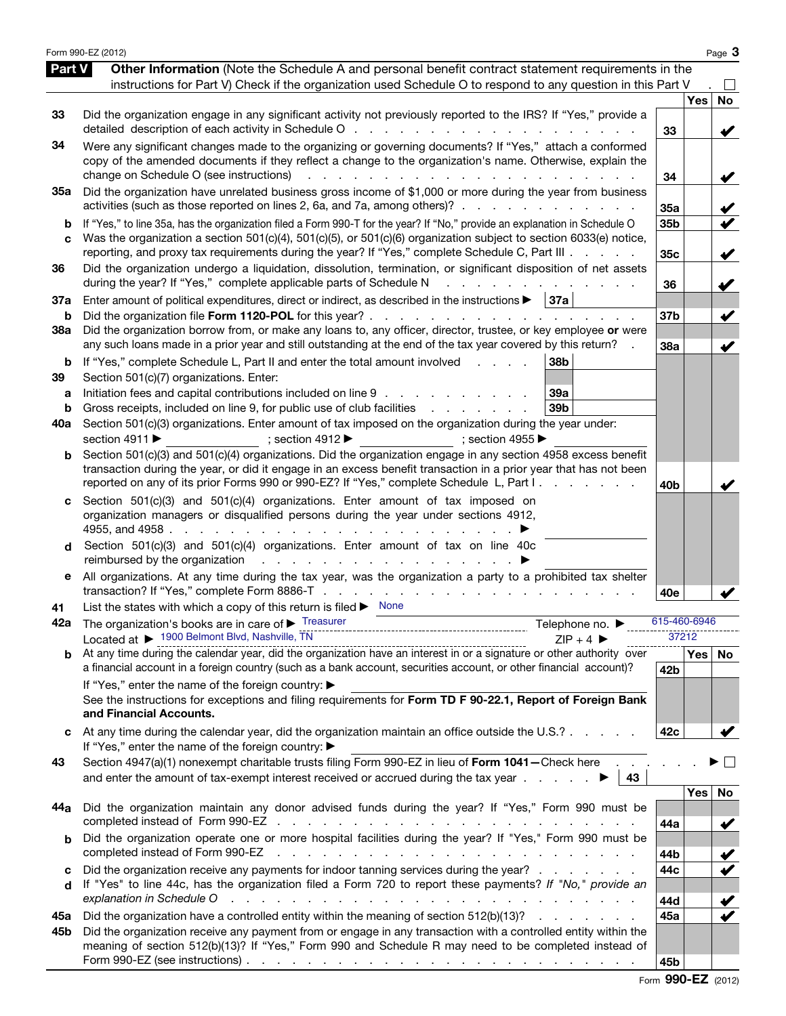|                          | Form 990-EZ (2012)                                                                                                                                                                                                                                                                                                                                                                                                                                                                                                                                 |                        |            | Page 3                                       |
|--------------------------|----------------------------------------------------------------------------------------------------------------------------------------------------------------------------------------------------------------------------------------------------------------------------------------------------------------------------------------------------------------------------------------------------------------------------------------------------------------------------------------------------------------------------------------------------|------------------------|------------|----------------------------------------------|
| <b>Part V</b>            | Other Information (Note the Schedule A and personal benefit contract statement requirements in the<br>instructions for Part V) Check if the organization used Schedule O to respond to any question in this Part V                                                                                                                                                                                                                                                                                                                                 |                        |            |                                              |
| 33                       | Did the organization engage in any significant activity not previously reported to the IRS? If "Yes," provide a                                                                                                                                                                                                                                                                                                                                                                                                                                    | 33                     | <b>Yes</b> | <b>No</b><br>V                               |
| 34                       | Were any significant changes made to the organizing or governing documents? If "Yes," attach a conformed<br>copy of the amended documents if they reflect a change to the organization's name. Otherwise, explain the<br>change on Schedule O (see instructions)                                                                                                                                                                                                                                                                                   | 34                     |            | V                                            |
| 35a                      | Did the organization have unrelated business gross income of \$1,000 or more during the year from business<br>activities (such as those reported on lines 2, 6a, and 7a, among others)?                                                                                                                                                                                                                                                                                                                                                            | 35a                    |            | $\checkmark$                                 |
| b<br>C                   | If "Yes," to line 35a, has the organization filed a Form 990-T for the year? If "No," provide an explanation in Schedule O<br>Was the organization a section 501(c)(4), 501(c)(5), or 501(c)(6) organization subject to section 6033(e) notice,<br>reporting, and proxy tax requirements during the year? If "Yes," complete Schedule C, Part III                                                                                                                                                                                                  | 35b<br>35 <sub>c</sub> |            | V<br>V                                       |
| 36                       | Did the organization undergo a liquidation, dissolution, termination, or significant disposition of net assets<br>during the year? If "Yes," complete applicable parts of Schedule N<br>and a strain and a strain and a                                                                                                                                                                                                                                                                                                                            | 36                     |            | V                                            |
| 37a<br>b                 | Enter amount of political expenditures, direct or indirect, as described in the instructions $\blacktriangleright$   37a                                                                                                                                                                                                                                                                                                                                                                                                                           | 37 <sub>b</sub>        |            | $\blacktriangledown$                         |
| 38a                      | Did the organization borrow from, or make any loans to, any officer, director, trustee, or key employee or were<br>any such loans made in a prior year and still outstanding at the end of the tax year covered by this return?                                                                                                                                                                                                                                                                                                                    | 38a                    |            | $\blacktriangledown$                         |
| b<br>39<br>а<br>b<br>40a | If "Yes," complete Schedule L, Part II and enter the total amount involved<br>38 <sub>b</sub><br><b>Contract Contract</b><br>Section 501(c)(7) organizations. Enter:<br>Initiation fees and capital contributions included on line 9<br>39a<br>Gross receipts, included on line 9, for public use of club facilities exercises and contact the Gross receipts, included on line 9, for public use of club facilities<br>39 <sub>b</sub><br>Section 501(c)(3) organizations. Enter amount of tax imposed on the organization during the year under: |                        |            |                                              |
| b                        | section 4911 ▶<br>; section $4912 \blacktriangleright$<br>$\Rightarrow$ ; section 4955<br>Section 501(c)(3) and 501(c)(4) organizations. Did the organization engage in any section 4958 excess benefit<br>transaction during the year, or did it engage in an excess benefit transaction in a prior year that has not been<br>reported on any of its prior Forms 990 or 990-EZ? If "Yes," complete Schedule L, Part I.                                                                                                                            | 40b                    |            |                                              |
| d                        | Section 501(c)(3) and 501(c)(4) organizations. Enter amount of tax imposed on<br>organization managers or disqualified persons during the year under sections 4912,<br>Section 501(c)(3) and 501(c)(4) organizations. Enter amount of tax on line 40c<br>reimbursed by the organization response to the contract of the organization response to the contract of the contract of the contract of the contract of the contract of the contract of the contract of the contract of the co                                                            |                        |            |                                              |
| е                        | All organizations. At any time during the tax year, was the organization a party to a prohibited tax shelter                                                                                                                                                                                                                                                                                                                                                                                                                                       | 40e                    |            |                                              |
| 41                       | List the states with which a copy of this return is filed $\blacktriangleright$ None                                                                                                                                                                                                                                                                                                                                                                                                                                                               |                        |            |                                              |
| 42a                      | The organization's books are in care of $\blacktriangleright$ Treasurer<br>Telephone no. ▶<br>Located at ▶ 1900 Belmont Blvd, Nashville, TN<br>$ZIP + 4$                                                                                                                                                                                                                                                                                                                                                                                           | 615-460-6946           | 37212      |                                              |
|                          | Located at $\blacktriangleright$ 11 + 4 $\blacktriangleright$ 1.11 - 1.12 - 1.12 - 1.12 - 1.12 - 1.12 - 1.12 - 1.12 - 1.12 - 1.12 - 1.12 - 1.12 - 1.12 - 1.12 - 1.12 - 1.12 - 1.12 - 1.12 - 1.12 - 1.12 - 1.12 - 1.12 - 1.12 - 1.12 - 1.12 - 1.12 - 1.12<br>a financial account in a foreign country (such as a bank account, securities account, or other financial account)?                                                                                                                                                                     | 42 <sub>b</sub>        |            | Yes   No                                     |
|                          | If "Yes," enter the name of the foreign country: ▶<br>See the instructions for exceptions and filing requirements for Form TD F 90-22.1, Report of Foreign Bank<br>and Financial Accounts.                                                                                                                                                                                                                                                                                                                                                         |                        |            |                                              |
|                          | At any time during the calendar year, did the organization maintain an office outside the U.S.?<br>If "Yes," enter the name of the foreign country: ▶                                                                                                                                                                                                                                                                                                                                                                                              | 42c                    |            |                                              |
| 43                       | Section 4947(a)(1) nonexempt charitable trusts filing Form 990-EZ in lieu of Form 1041-Check here<br>and enter the amount of tax-exempt interest received or accrued during the tax year $\blacksquare$                                                                                                                                                                                                                                                                                                                                            |                        |            |                                              |
| 44a                      | Did the organization maintain any donor advised funds during the year? If "Yes," Form 990 must be                                                                                                                                                                                                                                                                                                                                                                                                                                                  | 44a                    | Yes        | No<br>$\checkmark$                           |
|                          | Did the organization operate one or more hospital facilities during the year? If "Yes," Form 990 must be<br>completed instead of Form 990-EZ                                                                                                                                                                                                                                                                                                                                                                                                       | 44b                    |            | $\blacktriangledown$                         |
| c<br>d                   | Did the organization receive any payments for indoor tanning services during the year?<br>If "Yes" to line 44c, has the organization filed a Form 720 to report these payments? If "No," provide an<br>explanation in Schedule O<br>والمتابع والمتابع والمتابع والمتابع والمتابع والمتابع والمتابع والمتابع والمتابع والمتابع والمتابع والمتابع                                                                                                                                                                                                    | 44c<br>44d             |            | $\blacktriangledown$<br>$\blacktriangledown$ |
| 45а<br>45b               | Did the organization have a controlled entity within the meaning of section 512(b)(13)?<br>Did the organization receive any payment from or engage in any transaction with a controlled entity within the<br>meaning of section 512(b)(13)? If "Yes," Form 990 and Schedule R may need to be completed instead of<br>Form 990-EZ (see instructions) $\ldots$ $\ldots$ $\ldots$ $\ldots$ $\ldots$ $\ldots$ $\ldots$ $\ldots$ $\ldots$ $\ldots$ $\ldots$                                                                                             | 45a<br>45b             |            | $\checkmark$                                 |

Form 990-EZ (2012)